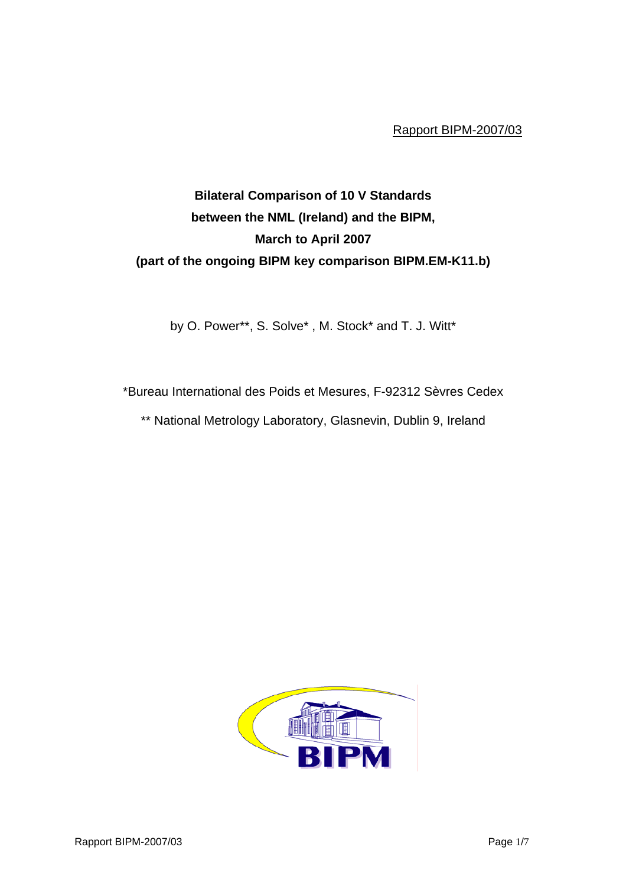Rapport BIPM-2007/03

## **Bilateral Comparison of 10 V Standards between the NML (Ireland) and the BIPM, March to April 2007 (part of the ongoing BIPM key comparison BIPM.EM-K11.b)**

by O. Power\*\*, S. Solve\* , M. Stock\* and T. J. Witt\*

\*Bureau International des Poids et Mesures, F-92312 Sèvres Cedex \*\* National Metrology Laboratory, Glasnevin, Dublin 9, Ireland

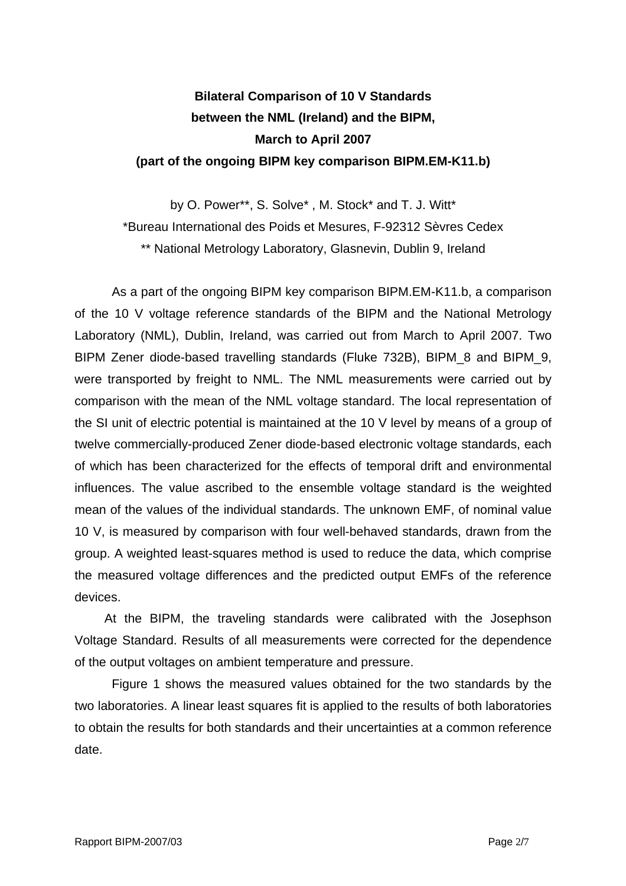## **Bilateral Comparison of 10 V Standards between the NML (Ireland) and the BIPM, March to April 2007 (part of the ongoing BIPM key comparison BIPM.EM-K11.b)**

by O. Power\*\*, S. Solve\* , M. Stock\* and T. J. Witt\* \*Bureau International des Poids et Mesures, F-92312 Sèvres Cedex \*\* National Metrology Laboratory, Glasnevin, Dublin 9, Ireland

As a part of the ongoing BIPM key comparison BIPM.EM-K11.b, a comparison of the 10 V voltage reference standards of the BIPM and the National Metrology Laboratory (NML), Dublin, Ireland, was carried out from March to April 2007. Two BIPM Zener diode-based travelling standards (Fluke 732B), BIPM\_8 and BIPM\_9, were transported by freight to NML. The NML measurements were carried out by comparison with the mean of the NML voltage standard. The local representation of the SI unit of electric potential is maintained at the 10 V level by means of a group of twelve commercially-produced Zener diode-based electronic voltage standards, each of which has been characterized for the effects of temporal drift and environmental influences. The value ascribed to the ensemble voltage standard is the weighted mean of the values of the individual standards. The unknown EMF, of nominal value 10 V, is measured by comparison with four well-behaved standards, drawn from the group. A weighted least-squares method is used to reduce the data, which comprise the measured voltage differences and the predicted output EMFs of the reference devices.

At the BIPM, the traveling standards were calibrated with the Josephson Voltage Standard. Results of all measurements were corrected for the dependence of the output voltages on ambient temperature and pressure.

Figure 1 shows the measured values obtained for the two standards by the two laboratories. A linear least squares fit is applied to the results of both laboratories to obtain the results for both standards and their uncertainties at a common reference date.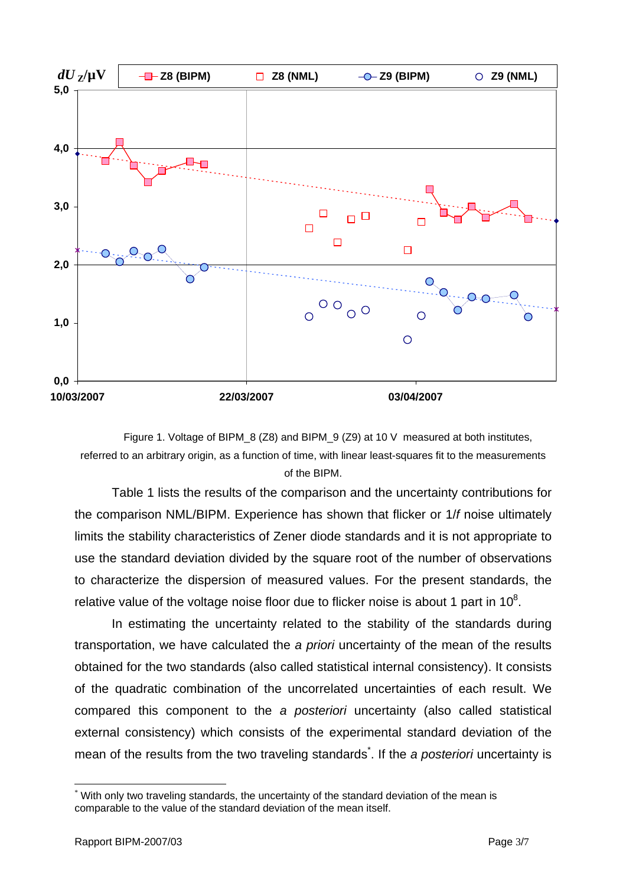

Figure 1. Voltage of BIPM\_8 (Z8) and BIPM\_9 (Z9) at 10 V measured at both institutes, referred to an arbitrary origin, as a function of time, with linear least-squares fit to the measurements of the BIPM.

Table 1 lists the results of the comparison and the uncertainty contributions for the comparison NML/BIPM. Experience has shown that flicker or 1/*f* noise ultimately limits the stability characteristics of Zener diode standards and it is not appropriate to use the standard deviation divided by the square root of the number of observations to characterize the dispersion of measured values. For the present standards, the relative value of the voltage noise floor due to flicker noise is about 1 part in  $10^8$ .

In estimating the uncertainty related to the stability of the standards during transportation, we have calculated the *a priori* uncertainty of the mean of the results obtained for the two standards (also called statistical internal consistency). It consists of the quadratic combination of the uncorrelated uncertainties of each result. We compared this component to the *a posteriori* uncertainty (also called statistical external consistency) which consists of the experimental standard deviation of the mean of the results from the two traveling standards<sup>\*</sup>[.](#page-2-0) If the *a posteriori* uncertainty is

 $\overline{a}$ 

<span id="page-2-0"></span><sup>\*</sup> With only two traveling standards, the uncertainty of the standard deviation of the mean is comparable to the value of the standard deviation of the mean itself.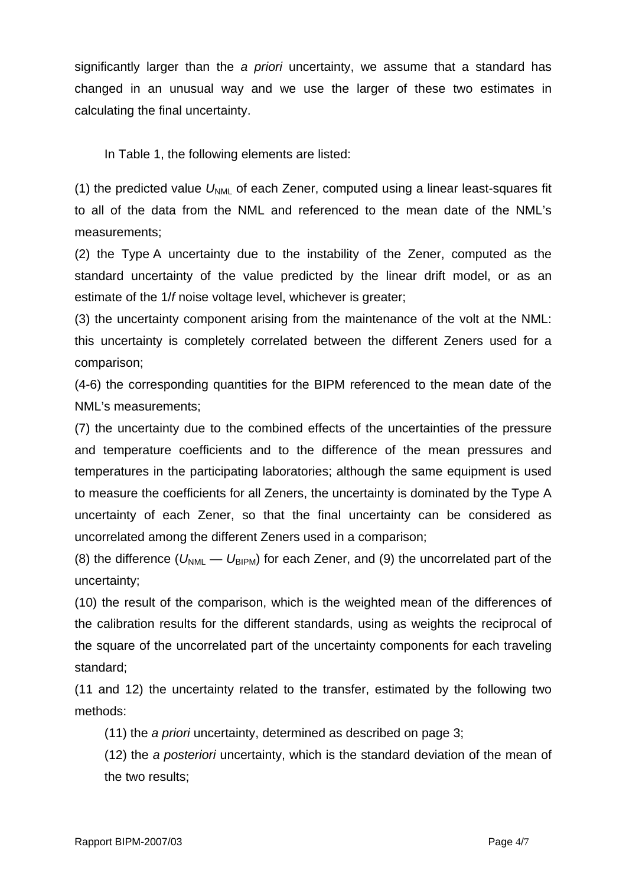significantly larger than the *a priori* uncertainty, we assume that a standard has changed in an unusual way and we use the larger of these two estimates in calculating the final uncertainty.

In Table 1, the following elements are listed:

(1) the predicted value  $U_{NMI}$  of each Zener, computed using a linear least-squares fit to all of the data from the NML and referenced to the mean date of the NML's measurements;

(2) the Type A uncertainty due to the instability of the Zener, computed as the standard uncertainty of the value predicted by the linear drift model, or as an estimate of the 1/*f* noise voltage level, whichever is greater;

(3) the uncertainty component arising from the maintenance of the volt at the NML: this uncertainty is completely correlated between the different Zeners used for a comparison;

(4-6) the corresponding quantities for the BIPM referenced to the mean date of the NML's measurements;

(7) the uncertainty due to the combined effects of the uncertainties of the pressure and temperature coefficients and to the difference of the mean pressures and temperatures in the participating laboratories; although the same equipment is used to measure the coefficients for all Zeners, the uncertainty is dominated by the Type A uncertainty of each Zener, so that the final uncertainty can be considered as uncorrelated among the different Zeners used in a comparison;

(8) the difference ( $U_{NML} - U_{BIPM}$ ) for each Zener, and (9) the uncorrelated part of the uncertainty;

(10) the result of the comparison, which is the weighted mean of the differences of the calibration results for the different standards, using as weights the reciprocal of the square of the uncorrelated part of the uncertainty components for each traveling standard;

(11 and 12) the uncertainty related to the transfer, estimated by the following two methods:

(11) the *a priori* uncertainty, determined as described on page 3;

(12) the *a posteriori* uncertainty, which is the standard deviation of the mean of the two results;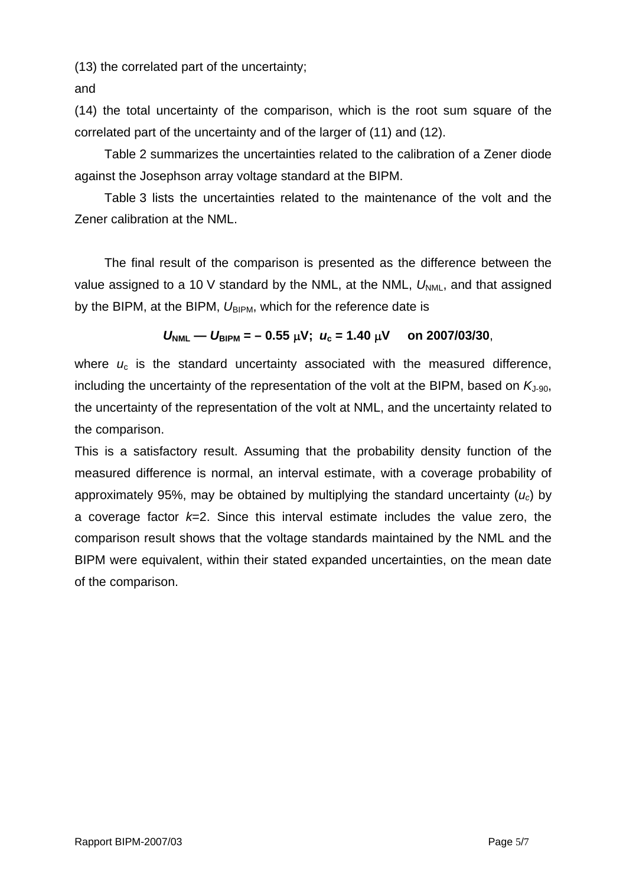(13) the correlated part of the uncertainty;

and

(14) the total uncertainty of the comparison, which is the root sum square of the correlated part of the uncertainty and of the larger of (11) and (12).

Table 2 summarizes the uncertainties related to the calibration of a Zener diode against the Josephson array voltage standard at the BIPM.

Table 3 lists the uncertainties related to the maintenance of the volt and the Zener calibration at the NML.

The final result of the comparison is presented as the difference between the value assigned to a 10 V standard by the NML, at the NML,  $U_{NML}$ , and that assigned by the BIPM, at the BIPM,  $U_{BIPM}$ , which for the reference date is

## $U_{\text{NMI}}$  —  $U_{\text{RIPM}}$  = - 0.55  $\mu$ V;  $u_c$  = 1.40  $\mu$ V on 2007/03/30,

where  $u_c$  is the standard uncertainty associated with the measured difference, including the uncertainty of the representation of the volt at the BIPM, based on  $K_{1-90}$ , the uncertainty of the representation of the volt at NML, and the uncertainty related to the comparison.

This is a satisfactory result. Assuming that the probability density function of the measured difference is normal, an interval estimate, with a coverage probability of approximately 95%, may be obtained by multiplying the standard uncertainty (*uc*) by a coverage factor *k*=2. Since this interval estimate includes the value zero, the comparison result shows that the voltage standards maintained by the NML and the BIPM were equivalent, within their stated expanded uncertainties, on the mean date of the comparison.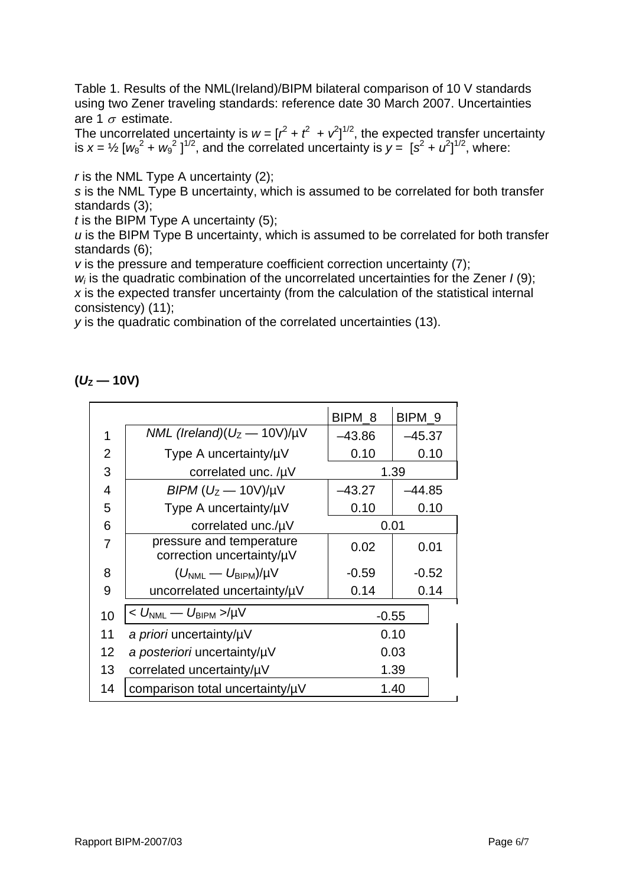Table 1. Results of the NML(Ireland)/BIPM bilateral comparison of 10 V standards using two Zener traveling standards: reference date 30 March 2007. Uncertainties are 1  $\sigma$  estimate.

The uncorrelated uncertainty is  $w = [r^2 + r^2 + r^2]^{1/2}$ , the expected transfer uncertainty is  $x = \frac{1}{2} [w_8^2 + w_9^2]^{1/2}$ , and the correlated uncertainty is  $y = [s^2 + u^2]^{1/2}$ , where:

*r* is the NML Type A uncertainty (2);

*s* is the NML Type B uncertainty, which is assumed to be correlated for both transfer standards (3);

*t* is the BIPM Type A uncertainty (5);

*u* is the BIPM Type B uncertainty, which is assumed to be correlated for both transfer standards (6);

*v* is the pressure and temperature coefficient correction uncertainty (7);

*wi* is the quadratic combination of the uncorrelated uncertainties for the Zener *I* (9); *x* is the expected transfer uncertainty (from the calculation of the statistical internal consistency) (11);

*y* is the quadratic combination of the correlated uncertainties (13).

|  | 10V) |
|--|------|
|--|------|

|                |                                                       | BIPM_8   | BIPM <sub>9</sub> |
|----------------|-------------------------------------------------------|----------|-------------------|
| 1              | NML (Ireland)( $U_z$ — 10V)/ $\mu$ V                  | $-43.86$ | $-45.37$          |
| $\overline{2}$ | Type A uncertainty/µV                                 | 0.10     | 0.10              |
| 3              | correlated unc. $/\mu$ V                              | 1.39     |                   |
| 4              | $BIPM (UZ - 10V)/\mu V$                               | –43.27   | -44.85            |
| 5              | Type A uncertainty/µV                                 | 0.10     | 0.10              |
| 6              | correlated unc./µV                                    | 0.01     |                   |
| $\overline{7}$ | pressure and temperature<br>correction uncertainty/µV | 0.02     | 0.01              |
| 8              | $(U_{\text{NML}} - U_{\text{BIPM}})/\mu V$            | $-0.59$  | $-0.52$           |
| 9              | uncorrelated uncertainty/uV                           | 0.14     | 0.14              |
| 10             | $< U_{\rm NML} - U_{\rm BIPM} >$ /µV                  |          | $-0.55$           |
| 11             | a priori uncertainty/uV                               | 0.10     |                   |
| 12             | a posteriori uncertainty/µV                           | 0.03     |                   |
| 13             | correlated uncertainty/uV                             | 1.39     |                   |
| 14             | comparison total uncertainty/uV                       | 1.40     |                   |